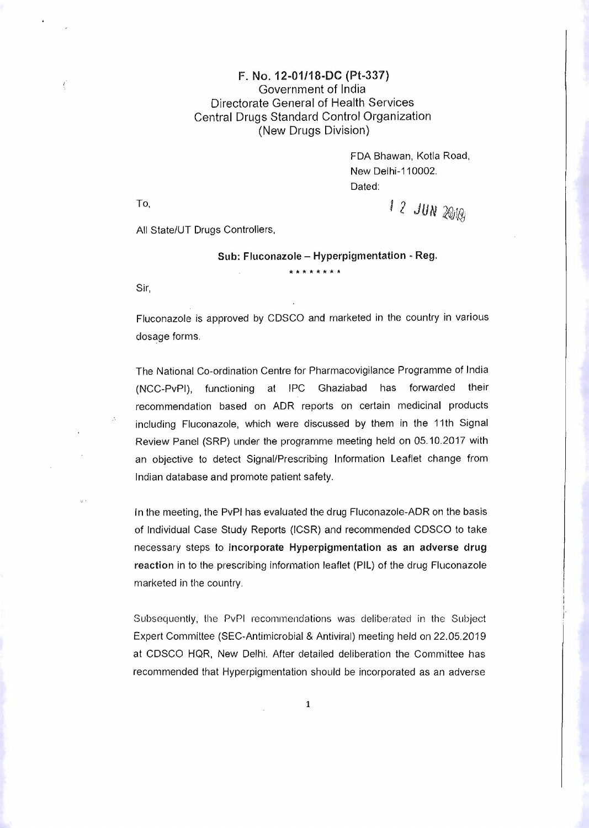## F. No. 12-01/18-DC (Pt-331) Government of India Directorate General of Health Services Central Drugs Standard Control Organization (New Drugs Division)

FDA Bhawan, Kotla Road, New Delhi-11 0002. Dated:

To,  $12$   $JUN$   $2010$ ;

All State/UT Drugs Controllers,

 $Sub:$  Fluconazole - Hyperpigmentation  $\cdot$  Reg. **\*\*\*\*\*\*\*\*** 

Sir,

Fluconazole is approved by CDSCO and marketed in the country in various dosage forms.

The National Co-ordination Centre for Pharmacovigilance Programme of India (NCC-PvPI), functioning at IPC Ghaziabad has forwarded their recommendation based on ADR reports on certain medicinal products including Fluconazole, which were discussed by them in the 11th Signal Review Panel (SRP) under the programme meeting held on 05.10.2017 with an objective to detect Signal/Prescribing Information Leaflet change from Indian database and promote patient safety.

In the meeting, the PvPI has evaluated the drug Fluconazole-ADR on the basis of Individual Case Study Reports (ICSR) and recommended CDSCO to take necessary steps to incorporate Hyperpigmentation as an adverse drug reaction in to the prescribing information leaflet (PIL) of the drug Fluconazole marketed in the country.

Subsequently, the PvPI recommendations was deliberated in the Subject Expert Committee (SEC-Antimicrobial & Antiviral) meeting held on 22.05.2019 at CDSCO HQR, New Delhi. After detailed deliberation the Committee has recommended that Hyperpigmentation should be incorporated as an adverse